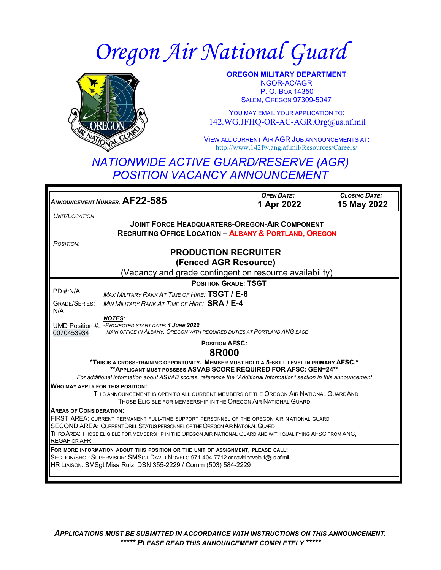# *Oregon Air National Guard*



**OREGON MILITARY DEPARTMENT** NGOR-AC/AGR P. O. BOX 14350 SALEM, OREGON 97309-5047

YOU MAY EMAIL YOUR APPLICATION TO: [142.WG.JFHQ-OR-AC-AGR.Org@us.af.mil](mailto:142.WG.JFHQ-OR-AC-AGR.Org@us.af.mil)

VIEW ALL CURRENT AIR AGR JOB ANNOUNCEMENTS AT: <http://www.142fw.ang.af.mil/Resources/Careers/>

## *NATIONWIDE ACTIVE GUARD/RESERVE (AGR) POSITION VACANCY ANNOUNCEMENT*

*ANNOUNCEMENT NUMBER:* **AF22-585** *OPEN DATE:* **1 Apr 2022** *CLOSING DATE:*  **15 May 2022** *UNIT/LOCATION*: **JOINT FORCE HEADQUARTERS-OREGON-AIR COMPONENT RECRUITING OFFICE LOCATION – ALBANY & PORTLAND, OREGON** *POSITION*: **PRODUCTION RECRUITER (Fenced AGR Resource)** (Vacancy and grade contingent on resource availability) PD #:N/A GRADE/SERIES: N/A UMD Position #: *-PROJECTED START DATE: 1 JUNE 2022* 0070453934 **POSITION GRADE**: **TSGT** *MAX MILITARY RANK AT TIME OF HIRE:* **TSGT / E-6** *MIN MILITARY RANK AT TIME OF HIRE:* **SRA / E-4** *NOTES: - MAIN OFFICE IN ALBANY, OREGON WITH REQUIRED DUTIES AT PORTLAND ANG BASE* **POSITION AFSC: 8R000 \*THIS IS A CROSS-TRAINING OPPORTUNITY. MEMBER MUST HOLD A 5-SKILL LEVEL IN PRIMARY AFSC.\* \*\*APPLICANT MUST POSSESS ASVAB SCORE REQUIRED FOR AFSC: GEN=24\*\*** *For additional information about ASVAB scores, reference the "Additional Information" section in this announcement* **WHO MAY APPLY FOR THIS POSITION:** THIS ANNOUNCEMENT IS OPEN TO ALL CURRENT MEMBERS OF THE OREGON AIR NATIONAL GUARDAND THOSE ELIGIBLE FOR MEMBERSHIP IN THE OREGON AIR NATIONAL GUARD **AREAS OF CONSIDERATION:** FIRST AREA: CURRENT PERMANENT FULL-TIME SUPPORT PERSONNEL OF THE OREGON AIR N ATIONAL GUARD SECOND AREA: CURRENT DRILL STATUS PERSONNEL OF THE OREGON AIR NATIONAL GUARD THIRD AREA: THOSE ELIGIBLE FOR MEMBERSHIP IN THE OREGON AIR NATIONAL GUARD AND WITH QUALIFYING AFSC FROM ANG, REGAF OR AFR **FOR MORE INFORMATION ABOUT THIS POSITION OR THE UNIT OF ASSIGNMENT, PLEASE CALL:** SECTION/SHOP SUPERVISOR: SMSGT DAVID NOVELO 971-404-7712 or david.novelo.1@us.af.mil HR LIAISON: SMSgt Misa Ruiz, DSN 355-2229 / Comm (503) 584-2229

*APPLICATIONS MUST BE SUBMITTED IN ACCORDANCE WITH INSTRUCTIONS ON THIS ANNOUNCEMENT. \*\*\*\*\* PLEASE READ THIS ANNOUNCEMENT COMPLETELY \*\*\*\*\**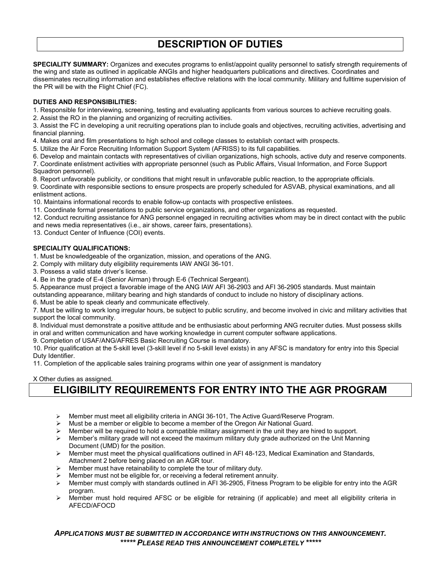## **DESCRIPTION OF DUTIES**

**SPECIALITY SUMMARY:** Organizes and executes programs to enlist/appoint quality personnel to satisfy strength requirements of the wing and state as outlined in applicable ANGIs and higher headquarters publications and directives. Coordinates and disseminates recruiting information and establishes effective relations with the local community. Military and fulltime supervision of the PR will be with the Flight Chief (FC).

#### **DUTIES AND RESPONSIBILITIES:**

1. Responsible for interviewing, screening, testing and evaluating applicants from various sources to achieve recruiting goals.

2. Assist the RO in the planning and organizing of recruiting activities.

3. Assist the FC in developing a unit recruiting operations plan to include goals and objectives, recruiting activities, advertising and financial planning.

4. Makes oral and film presentations to high school and college classes to establish contact with prospects.

5. Utilize the Air Force Recruiting Information Support System (AFRISS) to its full capabilities.

6. Develop and maintain contacts with representatives of civilian organizations, high schools, active duty and reserve components.

7. Coordinate enlistment activities with appropriate personnel (such as Public Affairs, Visual Information, and Force Support Squadron personnel).

8. Report unfavorable publicity, or conditions that might result in unfavorable public reaction, to the appropriate officials.

9. Coordinate with responsible sections to ensure prospects are properly scheduled for ASVAB, physical examinations, and all enlistment actions.

10. Maintains informational records to enable follow-up contacts with prospective enlistees.

11. Coordinate formal presentations to public service organizations, and other organizations as requested.

12. Conduct recruiting assistance for ANG personnel engaged in recruiting activities whom may be in direct contact with the public

and news media representatives (i.e., air shows, career fairs, presentations).

13. Conduct Center of Influence (COI) events.

#### **SPECIALITY QUALIFICATIONS:**

1. Must be knowledgeable of the organization, mission, and operations of the ANG.

2. Comply with military duty eligibility requirements IAW ANGI 36-101.

3. Possess a valid state driver's license.

4. Be in the grade of E-4 (Senior Airman) through E-6 (Technical Sergeant).

5. Appearance must project a favorable image of the ANG IAW AFI 36-2903 and AFI 36-2905 standards. Must maintain

outstanding appearance, military bearing and high standards of conduct to include no history of disciplinary actions.

6. Must be able to speak clearly and communicate effectively.

7. Must be willing to work long irregular hours, be subject to public scrutiny, and become involved in civic and military activities that support the local community.

8. Individual must demonstrate a positive attitude and be enthusiastic about performing ANG recruiter duties. Must possess skills

in oral and written communication and have working knowledge in current computer software applications.

9. Completion of USAF/ANG/AFRES Basic Recruiting Course is mandatory.

10. Prior qualification at the 5-skill level (3-skill level if no 5-skill level exists) in any AFSC is mandatory for entry into this Special Duty Identifier.

11. Completion of the applicable sales training programs within one year of assignment is mandatory

#### X Other duties as assigned.

## **ELIGIBILITY REQUIREMENTS FOR ENTRY INTO THE AGR PROGRAM**

- Member must meet all eligibility criteria in ANGI 36-101, The Active Guard/Reserve Program.
- Must be a member or eligible to become a member of the Oregon Air National Guard.
- Member will be required to hold a compatible military assignment in the unit they are hired to support.
- $\triangleright$  Member's military grade will not exceed the maximum military duty grade authorized on the Unit Manning Document (UMD) for the position.
- $\triangleright$  Member must meet the physical qualifications outlined in AFI 48-123, Medical Examination and Standards, Attachment 2 before being placed on an AGR tour.
- Member must have retainability to complete the tour of military duty.
- Member must not be eligible for, or receiving a federal retirement annuity.
- Member must comply with standards outlined in AFI 36-2905, Fitness Program to be eligible for entry into the AGR program.
- Member must hold required AFSC or be eligible for retraining (if applicable) and meet all eligibility criteria in AFECD/AFOCD

*APPLICATIONS MUST BE SUBMITTED IN ACCORDANCE WITH INSTRUCTIONS ON THIS ANNOUNCEMENT. \*\*\*\*\* PLEASE READ THIS ANNOUNCEMENT COMPLETELY \*\*\*\*\**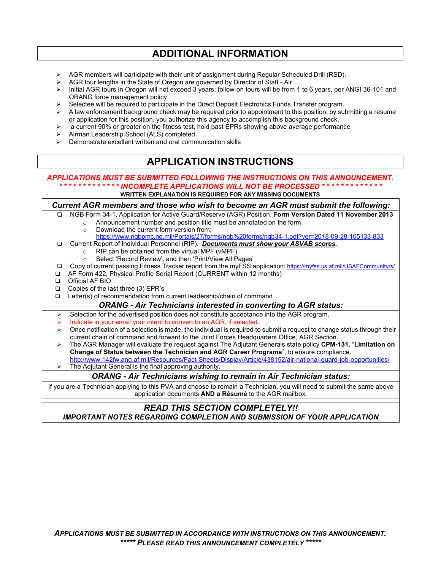### **ADDITIONAL INFORMATION**

- ▶ AGR members will participate with their unit of assignment during Regular Scheduled Drill (RSD).
- $\triangleright$  AGR tour lengths in the State of Oregon are governed by Director of Staff Air
- $\triangleright$  Initial AGR tours in Oregon will not exceed 3 years; follow-on tours will be from 1 to 6 years, per ANGI 36-101 and ORANG force management policy
- $\triangleright$  Selectee will be required to participate in the Direct Deposit Electronics Funds Transfer program.
- $\triangleright$  A law enforcement background check may be required prior to appointment to this position; by submitting a resume or application for this position, you authorize this agency to accomplish this background check.
- $\triangleright$  a current 90% or greater on the fitness test, hold past EPRs showing above average performance
- Airman Leadership School (ALS) completed
- $\triangleright$  Demonstrate excellent written and oral communication skills

## **APPLICATION INSTRUCTIONS**

#### *APPLICATIONS MUST BE SUBMITTED FOLLOWING THE INSTRUCTIONS ON THIS ANNOUNCEMENT. \* \* \* \* \* \* \* \* \* \* \* \* \* INCOMPLETE APPLICATIONS WILL NOT BE PROCESSED \* \* \* \* \* \* \* \* \* \* \* \* \** **WRITTEN EXPLANATION IS REQUIRED FOR ANY MISSING DOCUMENTS**

*Current AGR members and those who wish to become an AGR must submit the following:* NGB Form 34-1, Application for Active Guard/Reserve (AGR) Position, **Form Version Dated 11 November 2013**  $\circ$  Announcement number and position title must be annotated on the form  $\circ$  Download the current form version from: Download the current form version from; <https://www.ngbpmc.ng.mil/Portals/27/forms/ngb%20forms/ngb34-1.pdf?ver=2018-09-28-105133-833> Current Report of Individual Personnel (RIP). *Documents must show your ASVAB scores.*  $\circ$  RIP can be obtained from the virtual MPF (vMPF) Select 'Record Review', and then 'Print/View All Pages' Copy of current passing Fitness Tracker report from the myFSS application: <https://myfss.us.af.mil/USAFCommunity/s/> □ AF Form 422, Physical Profile Serial Report (CURRENT within 12 months) Official AF BIO Copies of the last three (3) EPR's □ Letter(s) of recommendation from current leadership/chain of command *ORANG - Air Technicians interested in converting to AGR status:*  $\triangleright$  Selection for the advertised position does not constitute acceptance into the AGR program. Indicate in your email your intent to convert to an AGR, if selected.  $\triangleright$  Once notification of a selection is made, the individual is required to submit a request to change status through their current chain of command and forward to the Joint Forces Headquarters Office, AGR Section. The AGR Manager will evaluate the request against The Adjutant Generals state policy **CPM-131**, "**Limitation on Change of Status between the Technician and AGR Career Programs**", to ensure compliance. <http://www.142fw.ang.af.mil/Resources/Fact-Sheets/Display/Article/438152/air-national-guard-job-opportunities/> The Adjutant General is the final approving authority. *ORANG - Air Technicians wishing to remain in Air Technician status:* If you are a Technician applying to this PVA and choose to remain a Technician, you will need to submit the same above application documents **AND a Résumé** to the AGR mailbox. *READ THIS SECTION COMPLETELY!! IMPORTANT NOTES REGARDING COMPLETION AND SUBMISSION OF YOUR APPLICATION*